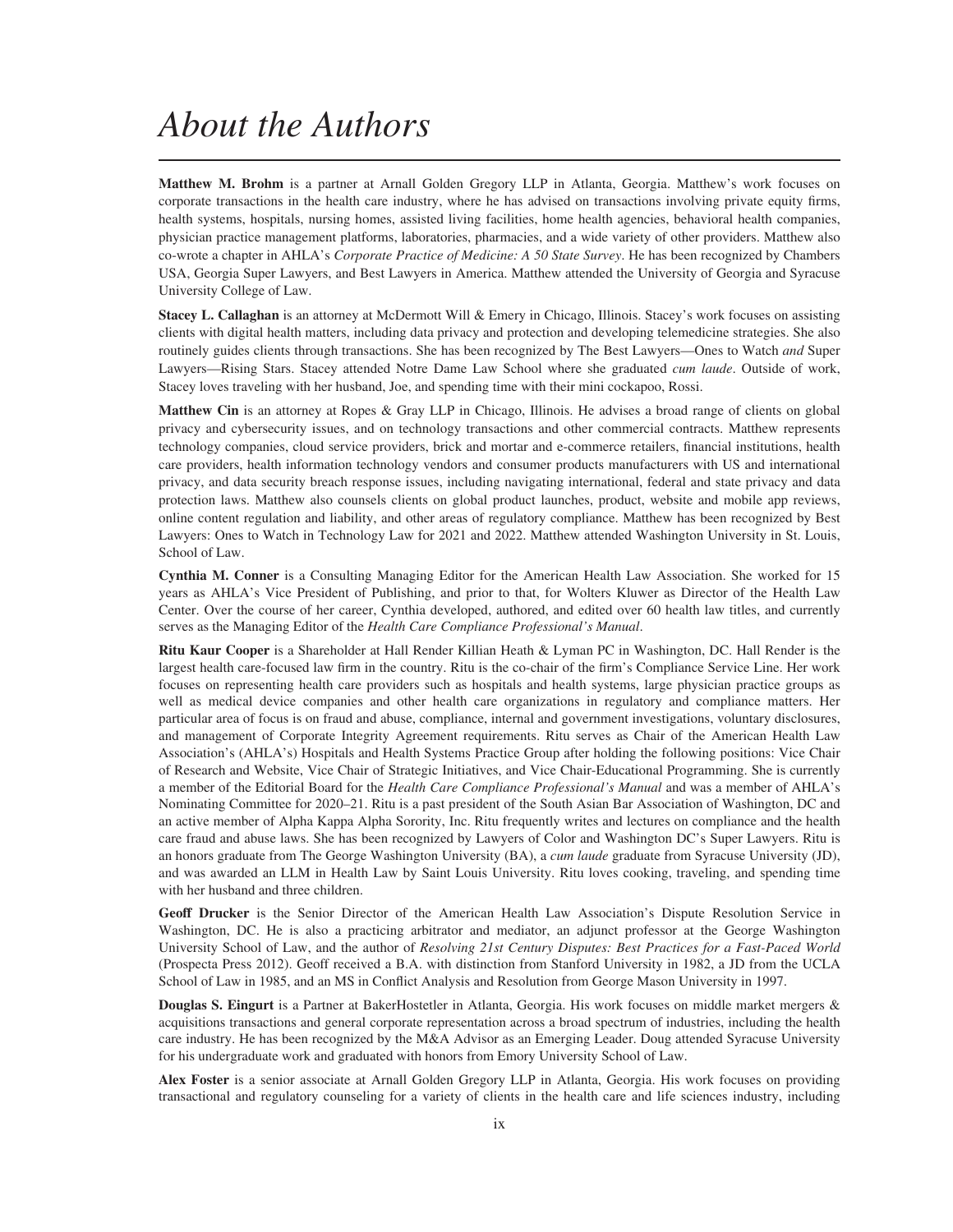## *About the Authors*

**Matthew M. Brohm** is a partner at Arnall Golden Gregory LLP in Atlanta, Georgia. Matthew's work focuses on corporate transactions in the health care industry, where he has advised on transactions involving private equity firms, health systems, hospitals, nursing homes, assisted living facilities, home health agencies, behavioral health companies, physician practice management platforms, laboratories, pharmacies, and a wide variety of other providers. Matthew also co-wrote a chapter in AHLA's *Corporate Practice of Medicine: A 50 State Survey*. He has been recognized by Chambers USA, Georgia Super Lawyers, and Best Lawyers in America. Matthew attended the University of Georgia and Syracuse University College of Law.

**Stacey L. Callaghan** is an attorney at McDermott Will & Emery in Chicago, Illinois. Stacey's work focuses on assisting clients with digital health matters, including data privacy and protection and developing telemedicine strategies. She also routinely guides clients through transactions. She has been recognized by The Best Lawyers—Ones to Watch *and* Super Lawyers—Rising Stars. Stacey attended Notre Dame Law School where she graduated *cum laude*. Outside of work, Stacey loves traveling with her husband, Joe, and spending time with their mini cockapoo, Rossi.

**Matthew Cin** is an attorney at Ropes & Gray LLP in Chicago, Illinois. He advises a broad range of clients on global privacy and cybersecurity issues, and on technology transactions and other commercial contracts. Matthew represents technology companies, cloud service providers, brick and mortar and e-commerce retailers, financial institutions, health care providers, health information technology vendors and consumer products manufacturers with US and international privacy, and data security breach response issues, including navigating international, federal and state privacy and data protection laws. Matthew also counsels clients on global product launches, product, website and mobile app reviews, online content regulation and liability, and other areas of regulatory compliance. Matthew has been recognized by Best Lawyers: Ones to Watch in Technology Law for 2021 and 2022. Matthew attended Washington University in St. Louis, School of Law.

**Cynthia M. Conner** is a Consulting Managing Editor for the American Health Law Association. She worked for 15 years as AHLA's Vice President of Publishing, and prior to that, for Wolters Kluwer as Director of the Health Law Center. Over the course of her career, Cynthia developed, authored, and edited over 60 health law titles, and currently serves as the Managing Editor of the *Health Care Compliance Professional's Manual*.

**Ritu Kaur Cooper** is a Shareholder at Hall Render Killian Heath & Lyman PC in Washington, DC. Hall Render is the largest health care-focused law firm in the country. Ritu is the co-chair of the firm's Compliance Service Line. Her work focuses on representing health care providers such as hospitals and health systems, large physician practice groups as well as medical device companies and other health care organizations in regulatory and compliance matters. Her particular area of focus is on fraud and abuse, compliance, internal and government investigations, voluntary disclosures, and management of Corporate Integrity Agreement requirements. Ritu serves as Chair of the American Health Law Association's (AHLA's) Hospitals and Health Systems Practice Group after holding the following positions: Vice Chair of Research and Website, Vice Chair of Strategic Initiatives, and Vice Chair-Educational Programming. She is currently a member of the Editorial Board for the *Health Care Compliance Professional's Manual* and was a member of AHLA's Nominating Committee for 2020–21. Ritu is a past president of the South Asian Bar Association of Washington, DC and an active member of Alpha Kappa Alpha Sorority, Inc. Ritu frequently writes and lectures on compliance and the health care fraud and abuse laws. She has been recognized by Lawyers of Color and Washington DC's Super Lawyers. Ritu is an honors graduate from The George Washington University (BA), a *cum laude* graduate from Syracuse University (JD), and was awarded an LLM in Health Law by Saint Louis University. Ritu loves cooking, traveling, and spending time with her husband and three children.

**Geoff Drucker** is the Senior Director of the American Health Law Association's Dispute Resolution Service in Washington, DC. He is also a practicing arbitrator and mediator, an adjunct professor at the George Washington University School of Law, and the author of *Resolving 21st Century Disputes: Best Practices for a Fast-Paced World* (Prospecta Press 2012). Geoff received a B.A. with distinction from Stanford University in 1982, a JD from the UCLA School of Law in 1985, and an MS in Conflict Analysis and Resolution from George Mason University in 1997.

**Douglas S. Eingurt** is a Partner at BakerHostetler in Atlanta, Georgia. His work focuses on middle market mergers & acquisitions transactions and general corporate representation across a broad spectrum of industries, including the health care industry. He has been recognized by the M&A Advisor as an Emerging Leader. Doug attended Syracuse University for his undergraduate work and graduated with honors from Emory University School of Law.

**Alex Foster** is a senior associate at Arnall Golden Gregory LLP in Atlanta, Georgia. His work focuses on providing transactional and regulatory counseling for a variety of clients in the health care and life sciences industry, including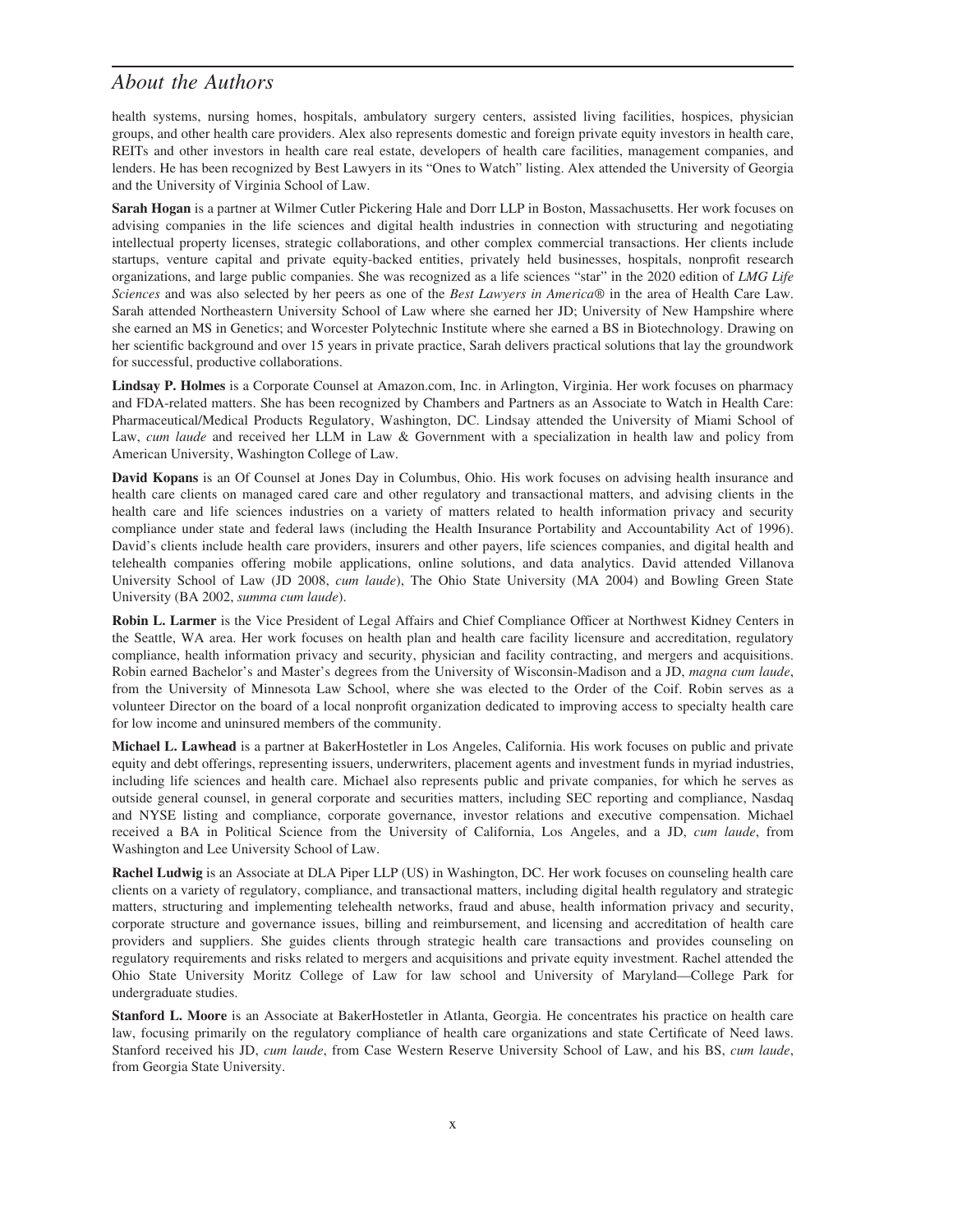## *About the Authors*

health systems, nursing homes, hospitals, ambulatory surgery centers, assisted living facilities, hospices, physician groups, and other health care providers. Alex also represents domestic and foreign private equity investors in health care, REITs and other investors in health care real estate, developers of health care facilities, management companies, and lenders. He has been recognized by Best Lawyers in its "Ones to Watch" listing. Alex attended the University of Georgia and the University of Virginia School of Law.

**Sarah Hogan** is a partner at Wilmer Cutler Pickering Hale and Dorr LLP in Boston, Massachusetts. Her work focuses on advising companies in the life sciences and digital health industries in connection with structuring and negotiating intellectual property licenses, strategic collaborations, and other complex commercial transactions. Her clients include startups, venture capital and private equity-backed entities, privately held businesses, hospitals, nonprofit research organizations, and large public companies. She was recognized as a life sciences "star" in the 2020 edition of *LMG Life Sciences* and was also selected by her peers as one of the *Best Lawyers in America®* in the area of Health Care Law. Sarah attended Northeastern University School of Law where she earned her JD; University of New Hampshire where she earned an MS in Genetics; and Worcester Polytechnic Institute where she earned a BS in Biotechnology. Drawing on her scientific background and over 15 years in private practice, Sarah delivers practical solutions that lay the groundwork for successful, productive collaborations.

**Lindsay P. Holmes** is a Corporate Counsel at Amazon.com, Inc. in Arlington, Virginia. Her work focuses on pharmacy and FDA-related matters. She has been recognized by Chambers and Partners as an Associate to Watch in Health Care: Pharmaceutical/Medical Products Regulatory, Washington, DC. Lindsay attended the University of Miami School of Law, *cum laude* and received her LLM in Law & Government with a specialization in health law and policy from American University, Washington College of Law.

**David Kopans** is an Of Counsel at Jones Day in Columbus, Ohio. His work focuses on advising health insurance and health care clients on managed cared care and other regulatory and transactional matters, and advising clients in the health care and life sciences industries on a variety of matters related to health information privacy and security compliance under state and federal laws (including the Health Insurance Portability and Accountability Act of 1996). David's clients include health care providers, insurers and other payers, life sciences companies, and digital health and telehealth companies offering mobile applications, online solutions, and data analytics. David attended Villanova University School of Law (JD 2008, *cum laude*), The Ohio State University (MA 2004) and Bowling Green State University (BA 2002, *summa cum laude*).

**Robin L. Larmer** is the Vice President of Legal Affairs and Chief Compliance Officer at Northwest Kidney Centers in the Seattle, WA area. Her work focuses on health plan and health care facility licensure and accreditation, regulatory compliance, health information privacy and security, physician and facility contracting, and mergers and acquisitions. Robin earned Bachelor's and Master's degrees from the University of Wisconsin-Madison and a JD, *magna cum laude*, from the University of Minnesota Law School, where she was elected to the Order of the Coif. Robin serves as a volunteer Director on the board of a local nonprofit organization dedicated to improving access to specialty health care for low income and uninsured members of the community.

**Michael L. Lawhead** is a partner at BakerHostetler in Los Angeles, California. His work focuses on public and private equity and debt offerings, representing issuers, underwriters, placement agents and investment funds in myriad industries, including life sciences and health care. Michael also represents public and private companies, for which he serves as outside general counsel, in general corporate and securities matters, including SEC reporting and compliance, Nasdaq and NYSE listing and compliance, corporate governance, investor relations and executive compensation. Michael received a BA in Political Science from the University of California, Los Angeles, and a JD, *cum laude*, from Washington and Lee University School of Law.

**Rachel Ludwig** is an Associate at DLA Piper LLP (US) in Washington, DC. Her work focuses on counseling health care clients on a variety of regulatory, compliance, and transactional matters, including digital health regulatory and strategic matters, structuring and implementing telehealth networks, fraud and abuse, health information privacy and security, corporate structure and governance issues, billing and reimbursement, and licensing and accreditation of health care providers and suppliers. She guides clients through strategic health care transactions and provides counseling on regulatory requirements and risks related to mergers and acquisitions and private equity investment. Rachel attended the Ohio State University Moritz College of Law for law school and University of Maryland—College Park for undergraduate studies.

**Stanford L. Moore** is an Associate at BakerHostetler in Atlanta, Georgia. He concentrates his practice on health care law, focusing primarily on the regulatory compliance of health care organizations and state Certificate of Need laws. Stanford received his JD, *cum laude*, from Case Western Reserve University School of Law, and his BS, *cum laude*, from Georgia State University.